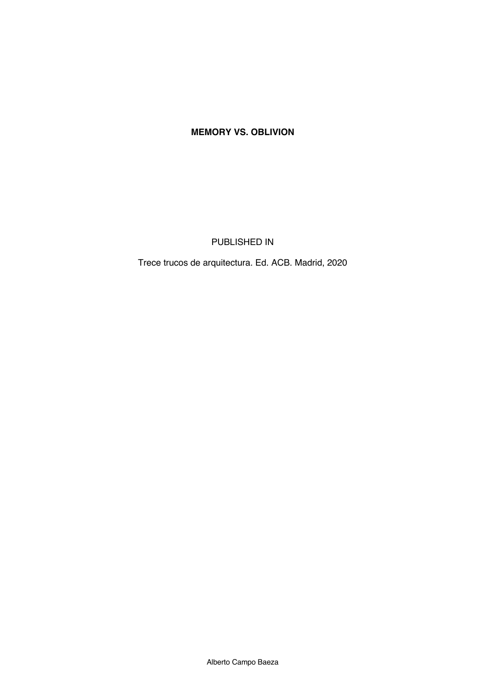## **MEMORY VS. OBLIVION**

PUBLISHED IN

Trece trucos de arquitectura. Ed. ACB. Madrid, 2020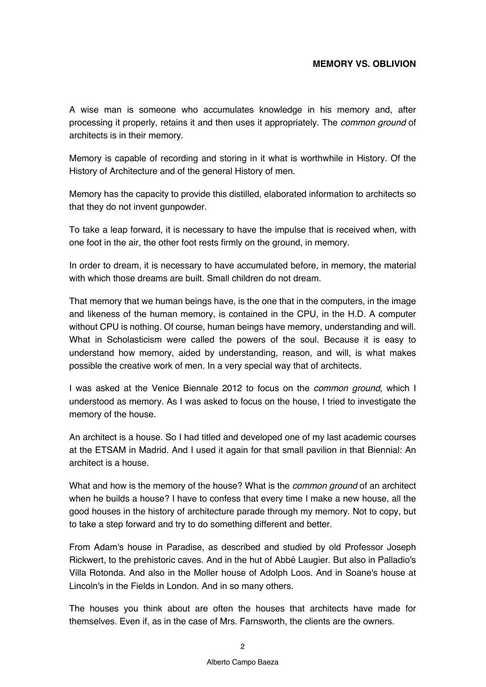## **MEMORY VS. OBLIVION**

A wise man is someone who accumulates knowledge in his memory and, after processing it properly, retains it and then uses it appropriately. The *common ground* of architects is in their memory.

Memory is capable of recording and storing in it what is worthwhile in History. Of the History of Architecture and of the general History of men.

Memory has the capacity to provide this distilled, elaborated information to architects so that they do not invent gunpowder.

To take a leap forward, it is necessary to have the impulse that is received when, with one foot in the air, the other foot rests firmly on the ground, in memory.

In order to dream, it is necessary to have accumulated before, in memory, the material with which those dreams are built. Small children do not dream.

That memory that we human beings have, is the one that in the computers, in the image and likeness of the human memory, is contained in the CPU, in the H.D. A computer without CPU is nothing. Of course, human beings have memory, understanding and will. What in Scholasticism were called the powers of the soul. Because it is easy to understand how memory, aided by understanding, reason, and will, is what makes possible the creative work of men. In a very special way that of architects.

I was asked at the Venice Biennale 2012 to focus on the *common ground*, which I understood as memory. As I was asked to focus on the house, I tried to investigate the memory of the house.

An architect is a house. So I had titled and developed one of my last academic courses at the ETSAM in Madrid. And I used it again for that small pavilion in that Biennial: An architect is a house.

What and how is the memory of the house? What is the *common ground* of an architect when he builds a house? I have to confess that every time I make a new house, all the good houses in the history of architecture parade through my memory. Not to copy, but to take a step forward and try to do something different and better.

From Adam's house in Paradise, as described and studied by old Professor Joseph Rickwert, to the prehistoric caves. And in the hut of Abbé Laugier. But also in Palladio's Villa Rotonda. And also in the Moller house of Adolph Loos. And in Soane's house at Lincoln's in the Fields in London. And in so many others.

The houses you think about are often the houses that architects have made for themselves. Even if, as in the case of Mrs. Farnsworth, the clients are the owners.